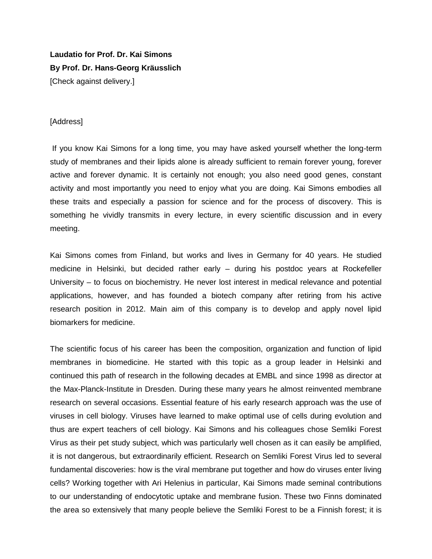## **Laudatio for Prof. Dr. Kai Simons By Prof. Dr. Hans-Georg Kräusslich**

[Check against delivery.]

## [Address]

If you know Kai Simons for a long time, you may have asked yourself whether the long-term study of membranes and their lipids alone is already sufficient to remain forever young, forever active and forever dynamic. It is certainly not enough; you also need good genes, constant activity and most importantly you need to enjoy what you are doing. Kai Simons embodies all these traits and especially a passion for science and for the process of discovery. This is something he vividly transmits in every lecture, in every scientific discussion and in every meeting.

Kai Simons comes from Finland, but works and lives in Germany for 40 years. He studied medicine in Helsinki, but decided rather early – during his postdoc years at Rockefeller University – to focus on biochemistry. He never lost interest in medical relevance and potential applications, however, and has founded a biotech company after retiring from his active research position in 2012. Main aim of this company is to develop and apply novel lipid biomarkers for medicine.

The scientific focus of his career has been the composition, organization and function of lipid membranes in biomedicine. He started with this topic as a group leader in Helsinki and continued this path of research in the following decades at EMBL and since 1998 as director at the Max-Planck-Institute in Dresden. During these many years he almost reinvented membrane research on several occasions. Essential feature of his early research approach was the use of viruses in cell biology. Viruses have learned to make optimal use of cells during evolution and thus are expert teachers of cell biology. Kai Simons and his colleagues chose Semliki Forest Virus as their pet study subject, which was particularly well chosen as it can easily be amplified, it is not dangerous, but extraordinarily efficient. Research on Semliki Forest Virus led to several fundamental discoveries: how is the viral membrane put together and how do viruses enter living cells? Working together with Ari Helenius in particular, Kai Simons made seminal contributions to our understanding of endocytotic uptake and membrane fusion. These two Finns dominated the area so extensively that many people believe the Semliki Forest to be a Finnish forest; it is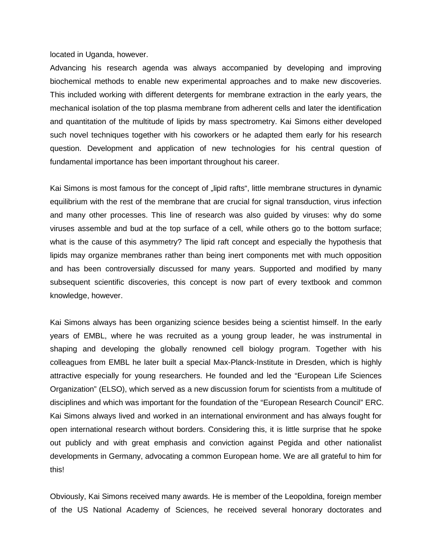## located in Uganda, however.

Advancing his research agenda was always accompanied by developing and improving biochemical methods to enable new experimental approaches and to make new discoveries. This included working with different detergents for membrane extraction in the early years, the mechanical isolation of the top plasma membrane from adherent cells and later the identification and quantitation of the multitude of lipids by mass spectrometry. Kai Simons either developed such novel techniques together with his coworkers or he adapted them early for his research question. Development and application of new technologies for his central question of fundamental importance has been important throughout his career.

Kai Simons is most famous for the concept of "lipid rafts", little membrane structures in dynamic equilibrium with the rest of the membrane that are crucial for signal transduction, virus infection and many other processes. This line of research was also guided by viruses: why do some viruses assemble and bud at the top surface of a cell, while others go to the bottom surface; what is the cause of this asymmetry? The lipid raft concept and especially the hypothesis that lipids may organize membranes rather than being inert components met with much opposition and has been controversially discussed for many years. Supported and modified by many subsequent scientific discoveries, this concept is now part of every textbook and common knowledge, however.

Kai Simons always has been organizing science besides being a scientist himself. In the early years of EMBL, where he was recruited as a young group leader, he was instrumental in shaping and developing the globally renowned cell biology program. Together with his colleagues from EMBL he later built a special Max-Planck-Institute in Dresden, which is highly attractive especially for young researchers. He founded and led the "European Life Sciences Organization" (ELSO), which served as a new discussion forum for scientists from a multitude of disciplines and which was important for the foundation of the "European Research Council" ERC. Kai Simons always lived and worked in an international environment and has always fought for open international research without borders. Considering this, it is little surprise that he spoke out publicly and with great emphasis and conviction against Pegida and other nationalist developments in Germany, advocating a common European home. We are all grateful to him for this!

Obviously, Kai Simons received many awards. He is member of the Leopoldina, foreign member of the US National Academy of Sciences, he received several honorary doctorates and